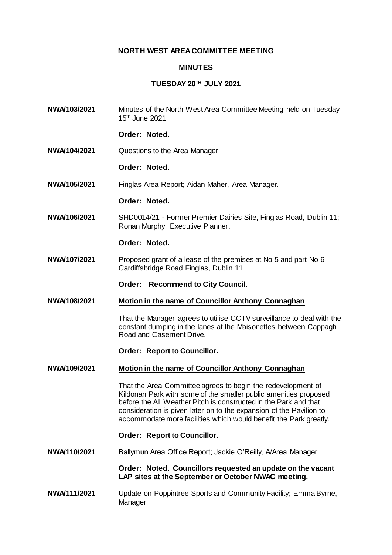# **NORTH WEST AREA COMMITTEE MEETING**

### **MINUTES**

# **TUESDAY 20TH JULY 2021**

**NWA/103/2021** Minutes of the North West Area Committee Meeting held on Tuesday 15th June 2021.

# **Order: Noted.**

- **NWA/104/2021** Questions to the Area Manager
	- **Order: Noted.**

**NWA/105/2021** Finglas Area Report; Aidan Maher, Area Manager.

# **Order: Noted.**

**NWA/106/2021** SHD0014/21 - Former Premier Dairies Site, Finglas Road, Dublin 11; Ronan Murphy, Executive Planner.

#### **Order: Noted.**

**NWA/107/2021** Proposed grant of a lease of the premises at No 5 and part No 6 Cardiffsbridge Road Finglas, Dublin 11

**Order: Recommend to City Council.**

**NWA/108/2021 Motion in the name of Councillor Anthony Connaghan** 

That the Manager agrees to utilise CCTV surveillance to deal with the constant dumping in the lanes at the Maisonettes between Cappagh Road and Casement Drive.

#### **Order: Report to Councillor.**

#### **NWA/109/2021 Motion in the name of Councillor Anthony Connaghan**

That the Area Committee agrees to begin the redevelopment of Kildonan Park with some of the smaller public amenities proposed before the All Weather Pitch is constructed in the Park and that consideration is given later on to the expansion of the Pavilion to accommodate more facilities which would benefit the Park greatly.

#### **Order: Report to Councillor.**

**NWA/110/2021** Ballymun Area Office Report; Jackie O'Reilly, A/Area Manager

**Order: Noted. Councillors requested an update on the vacant LAP sites at the September or October NWAC meeting.**

**NWA/111/2021** Update on Poppintree Sports and Community Facility; Emma Byrne, **Manager**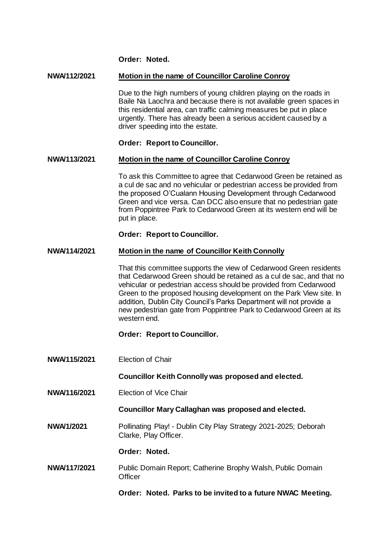**Order: Noted.**

# **NWA/112/2021 Motion in the name of Councillor Caroline Conroy**

Due to the high numbers of young children playing on the roads in Baile Na Laochra and because there is not available green spaces in this residential area, can traffic calming measures be put in place urgently. There has already been a serious accident caused by a driver speeding into the estate.

# **Order: Report to Councillor.**

### **NWA/113/2021 Motion in the name of Councillor Caroline Conroy**

To ask this Committee to agree that Cedarwood Green be retained as a cul de sac and no vehicular or pedestrian access be provided from the proposed O'Cualann Housing Development through Cedarwood Green and vice versa. Can DCC also ensure that no pedestrian gate from Poppintree Park to Cedarwood Green at its western end will be put in place.

### **Order: Report to Councillor.**

### **NWA/114/2021 Motion in the name of Councillor Keith Connolly**

That this committee supports the view of Cedarwood Green residents that Cedarwood Green should be retained as a cul de sac, and that no vehicular or pedestrian access should be provided from Cedarwood Green to the proposed housing development on the Park View site. In addition, Dublin City Council's Parks Department will not provide a new pedestrian gate from Poppintree Park to Cedarwood Green at its western end.

# **Order: Report to Councillor.**

**NWA/115/2021** Election of Chair

**Councillor Keith Connolly was proposed and elected.**

**NWA/116/2021** Election of Vice Chair

#### **Councillor Mary Callaghan was proposed and elected.**

**NWA/1/2021** Pollinating Play! - Dublin City Play Strategy 2021-2025; Deborah Clarke, Play Officer.

#### **Order: Noted.**

**NWA/117/2021** Public Domain Report; Catherine Brophy Walsh, Public Domain **Officer** 

**Order: Noted. Parks to be invited to a future NWAC Meeting.**